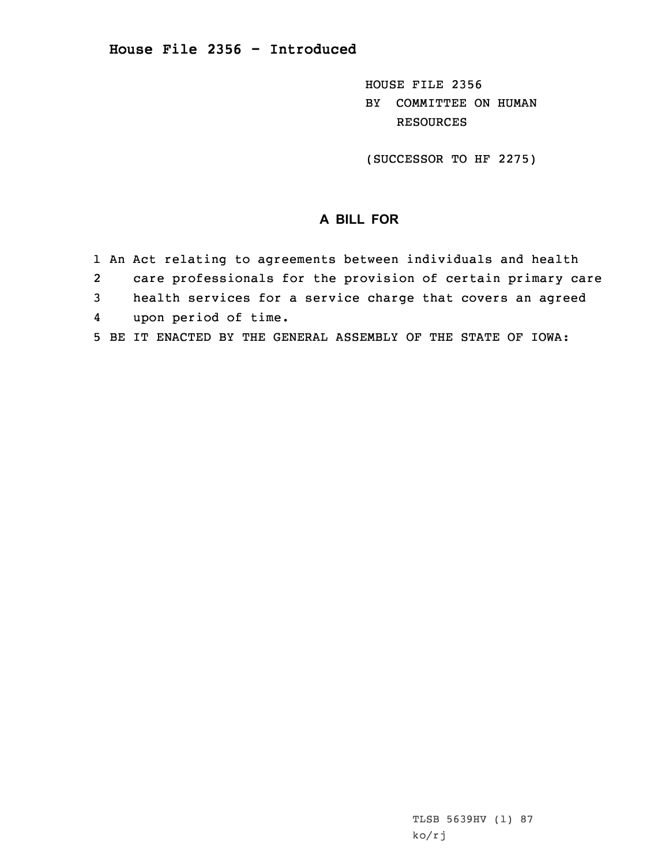HOUSE FILE 2356 BY COMMITTEE ON HUMAN RESOURCES

(SUCCESSOR TO HF 2275)

## **A BILL FOR**

- 1 An Act relating to agreements between individuals and health
- 2care professionals for the provision of certain primary care
- 3 health services for <sup>a</sup> service charge that covers an agreed
- 4upon period of time.
- 5 BE IT ENACTED BY THE GENERAL ASSEMBLY OF THE STATE OF IOWA: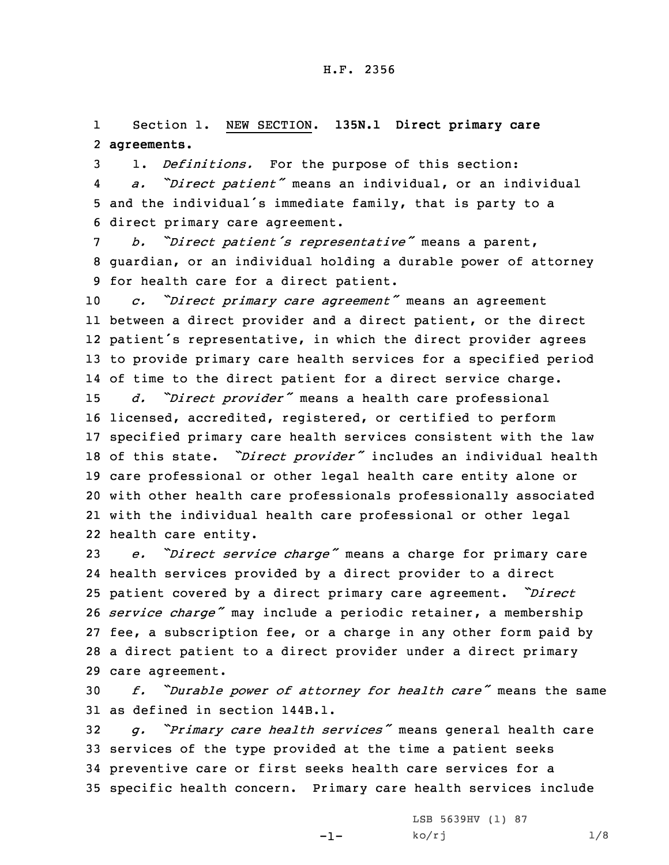1 Section 1. NEW SECTION. **135N.1 Direct primary care** 2 **agreements.**

3 1. *Definitions.* For the purpose of this section: 4 *a. "Direct patient"* means an individual, or an individual <sup>5</sup> and the individual's immediate family, that is party to <sup>a</sup> 6 direct primary care agreement.

<sup>7</sup> *b. "Direct patient's representative"* means <sup>a</sup> parent, 8 guardian, or an individual holding <sup>a</sup> durable power of attorney 9 for health care for <sup>a</sup> direct patient.

 *c. "Direct primary care agreement"* means an agreement between <sup>a</sup> direct provider and <sup>a</sup> direct patient, or the direct patient's representative, in which the direct provider agrees to provide primary care health services for <sup>a</sup> specified period of time to the direct patient for <sup>a</sup> direct service charge. *d. "Direct provider"* means <sup>a</sup> health care professional licensed, accredited, registered, or certified to perform specified primary care health services consistent with the law of this state. *"Direct provider"* includes an individual health care professional or other legal health care entity alone or with other health care professionals professionally associated with the individual health care professional or other legal health care entity.

 *e. "Direct service charge"* means <sup>a</sup> charge for primary care health services provided by <sup>a</sup> direct provider to <sup>a</sup> direct patient covered by <sup>a</sup> direct primary care agreement. *"Direct service charge"* may include <sup>a</sup> periodic retainer, <sup>a</sup> membership fee, <sup>a</sup> subscription fee, or <sup>a</sup> charge in any other form paid by <sup>a</sup> direct patient to <sup>a</sup> direct provider under <sup>a</sup> direct primary care agreement.

<sup>30</sup> *f. "Durable power of attorney for health care"* means the same 31 as defined in section 144B.1.

 *g. "Primary care health services"* means general health care services of the type provided at the time <sup>a</sup> patient seeks preventive care or first seeks health care services for <sup>a</sup> specific health concern. Primary care health services include

-1-

LSB 5639HV (1) 87  $ko/rj$  1/8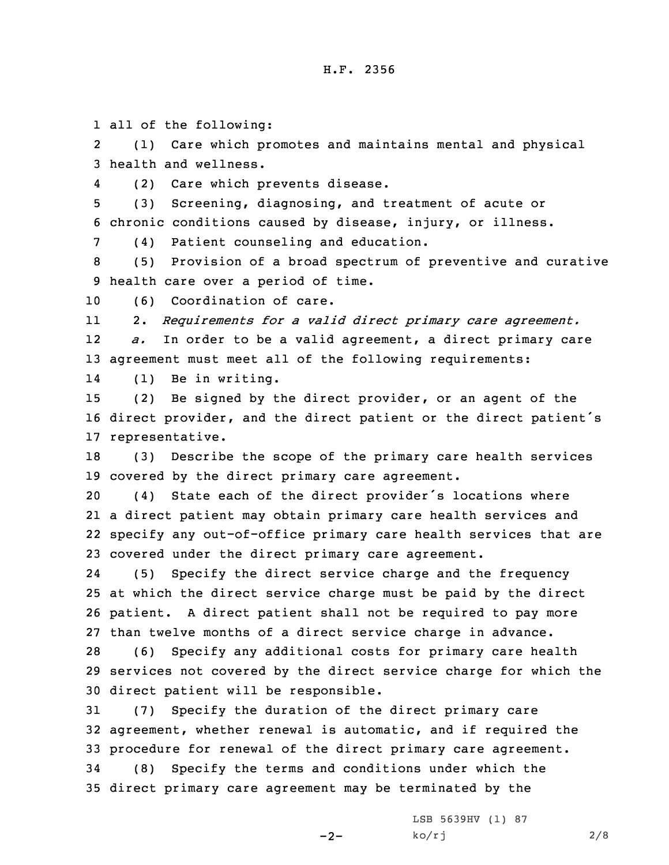1 all of the following:

2 (1) Care which promotes and maintains mental and physical 3 health and wellness.

4(2) Care which prevents disease.

5 (3) Screening, diagnosing, and treatment of acute or 6 chronic conditions caused by disease, injury, or illness.

7 (4) Patient counseling and education.

8 (5) Provision of <sup>a</sup> broad spectrum of preventive and curative 9 health care over <sup>a</sup> period of time.

10 (6) Coordination of care.

11 2. *Requirements for <sup>a</sup> valid direct primary care agreement.* 12*a.* In order to be <sup>a</sup> valid agreement, <sup>a</sup> direct primary care

13 agreement must meet all of the following requirements:

14(1) Be in writing.

15 (2) Be signed by the direct provider, or an agent of the <sup>16</sup> direct provider, and the direct patient or the direct patient's 17 representative.

18 (3) Describe the scope of the primary care health services 19 covered by the direct primary care agreement.

 (4) State each of the direct provider's locations where <sup>a</sup> direct patient may obtain primary care health services and specify any out-of-office primary care health services that are covered under the direct primary care agreement.

24 (5) Specify the direct service charge and the frequency 25 at which the direct service charge must be paid by the direct 26 patient. <sup>A</sup> direct patient shall not be required to pay more 27 than twelve months of <sup>a</sup> direct service charge in advance.

28 (6) Specify any additional costs for primary care health 29 services not covered by the direct service charge for which the 30 direct patient will be responsible.

 (7) Specify the duration of the direct primary care agreement, whether renewal is automatic, and if required the procedure for renewal of the direct primary care agreement. (8) Specify the terms and conditions under which the direct primary care agreement may be terminated by the

 $-2-$ 

LSB 5639HV (1) 87  $ko/rj$  2/8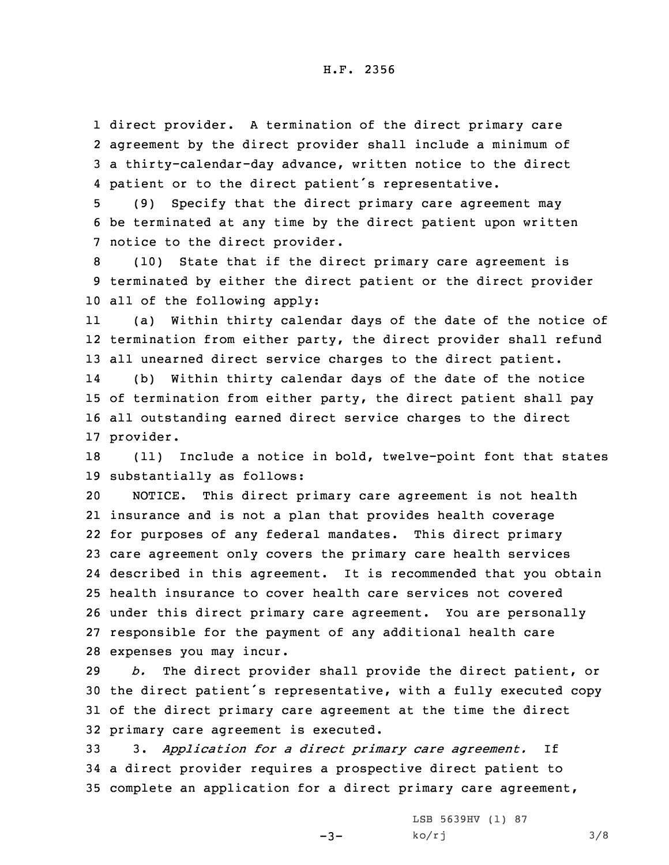direct provider. <sup>A</sup> termination of the direct primary care agreement by the direct provider shall include <sup>a</sup> minimum of <sup>a</sup> thirty-calendar-day advance, written notice to the direct patient or to the direct patient's representative.

5 (9) Specify that the direct primary care agreement may 6 be terminated at any time by the direct patient upon written 7 notice to the direct provider.

8 (10) State that if the direct primary care agreement is 9 terminated by either the direct patient or the direct provider 10 all of the following apply:

11 (a) Within thirty calendar days of the date of the notice of 12 termination from either party, the direct provider shall refund 13 all unearned direct service charges to the direct patient.

14 (b) Within thirty calendar days of the date of the notice 15 of termination from either party, the direct patient shall pay 16 all outstanding earned direct service charges to the direct 17 provider.

18 (11) Include <sup>a</sup> notice in bold, twelve-point font that states 19 substantially as follows:

 NOTICE. This direct primary care agreement is not health insurance and is not <sup>a</sup> plan that provides health coverage for purposes of any federal mandates. This direct primary care agreement only covers the primary care health services described in this agreement. It is recommended that you obtain health insurance to cover health care services not covered under this direct primary care agreement. You are personally responsible for the payment of any additional health care expenses you may incur.

 *b.* The direct provider shall provide the direct patient, or the direct patient's representative, with <sup>a</sup> fully executed copy of the direct primary care agreement at the time the direct primary care agreement is executed.

33 3. *Application for <sup>a</sup> direct primary care agreement.* If 34 <sup>a</sup> direct provider requires <sup>a</sup> prospective direct patient to 35 complete an application for <sup>a</sup> direct primary care agreement,

 $-3-$ 

LSB 5639HV (1) 87 ko/rj 3/8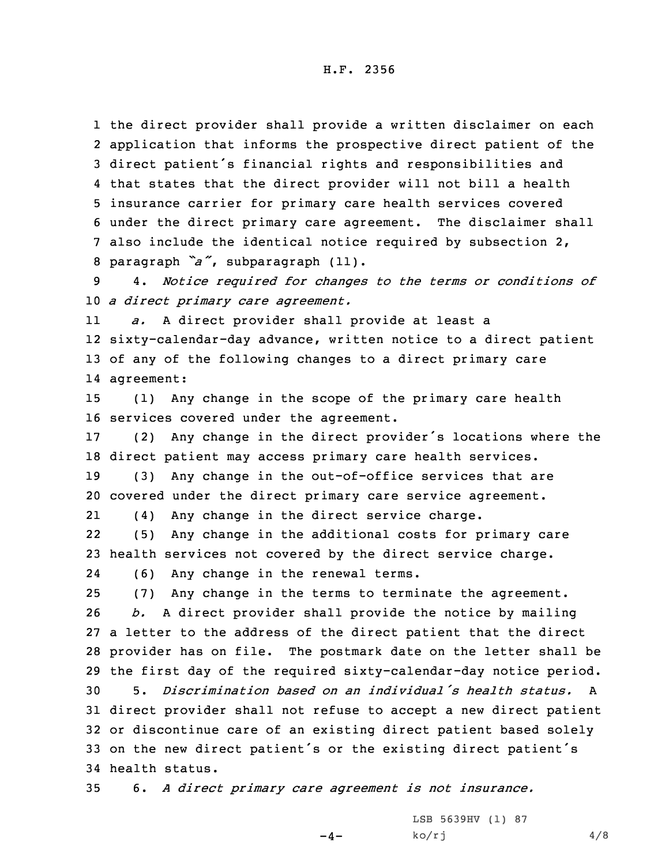the direct provider shall provide <sup>a</sup> written disclaimer on each application that informs the prospective direct patient of the direct patient's financial rights and responsibilities and that states that the direct provider will not bill <sup>a</sup> health insurance carrier for primary care health services covered under the direct primary care agreement. The disclaimer shall also include the identical notice required by subsection 2, paragraph *"a"*, subparagraph (11).

9 4. *Notice required for changes to the terms or conditions of* 10 *<sup>a</sup> direct primary care agreement.*

11 *a.* <sup>A</sup> direct provider shall provide at least <sup>a</sup> 12 sixty-calendar-day advance, written notice to <sup>a</sup> direct patient 13 of any of the following changes to <sup>a</sup> direct primary care 14 agreement:

15 (1) Any change in the scope of the primary care health 16 services covered under the agreement.

<sup>17</sup> (2) Any change in the direct provider's locations where the 18 direct patient may access primary care health services.

19 (3) Any change in the out-of-office services that are 20 covered under the direct primary care service agreement.

21(4) Any change in the direct service charge.

22 (5) Any change in the additional costs for primary care 23 health services not covered by the direct service charge.

24(6) Any change in the renewal terms.

 (7) Any change in the terms to terminate the agreement. *b.* <sup>A</sup> direct provider shall provide the notice by mailing <sup>a</sup> letter to the address of the direct patient that the direct provider has on file. The postmark date on the letter shall be the first day of the required sixty-calendar-day notice period. 5. *Discrimination based on an individual's health status.* A direct provider shall not refuse to accept <sup>a</sup> new direct patient or discontinue care of an existing direct patient based solely on the new direct patient's or the existing direct patient's health status.

35 6. *<sup>A</sup> direct primary care agreement is not insurance.*

 $-4-$ 

LSB 5639HV (1) 87  $ko/rj$  4/8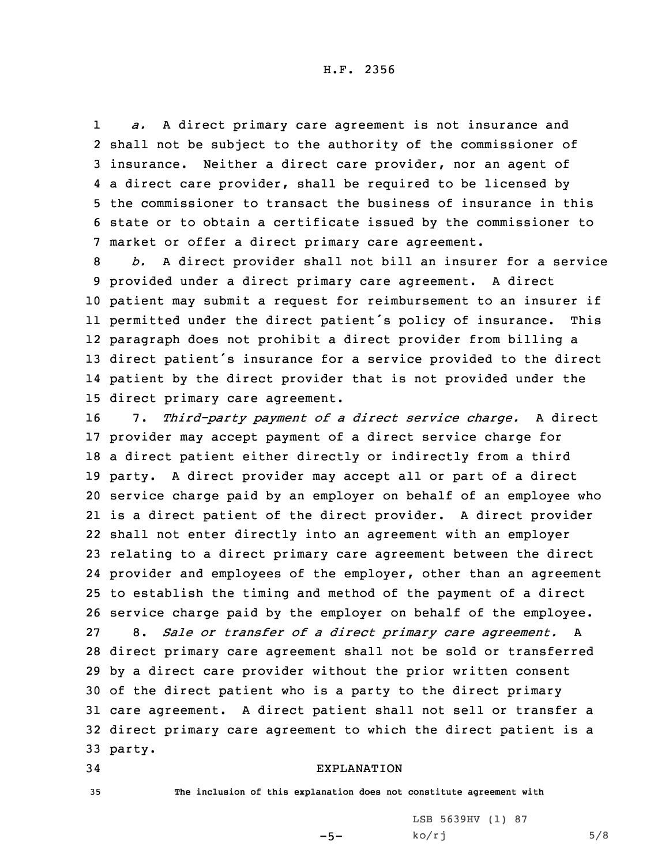1 *a.* <sup>A</sup> direct primary care agreement is not insurance and shall not be subject to the authority of the commissioner of insurance. Neither <sup>a</sup> direct care provider, nor an agent of <sup>a</sup> direct care provider, shall be required to be licensed by the commissioner to transact the business of insurance in this state or to obtain <sup>a</sup> certificate issued by the commissioner to market or offer <sup>a</sup> direct primary care agreement.

 *b.* <sup>A</sup> direct provider shall not bill an insurer for <sup>a</sup> service provided under <sup>a</sup> direct primary care agreement. <sup>A</sup> direct patient may submit <sup>a</sup> request for reimbursement to an insurer if permitted under the direct patient's policy of insurance. This paragraph does not prohibit <sup>a</sup> direct provider from billing <sup>a</sup> direct patient's insurance for <sup>a</sup> service provided to the direct patient by the direct provider that is not provided under the direct primary care agreement.

 7. *Third-party payment of <sup>a</sup> direct service charge.* <sup>A</sup> direct provider may accept payment of <sup>a</sup> direct service charge for <sup>a</sup> direct patient either directly or indirectly from <sup>a</sup> third party. <sup>A</sup> direct provider may accept all or part of <sup>a</sup> direct service charge paid by an employer on behalf of an employee who is <sup>a</sup> direct patient of the direct provider. <sup>A</sup> direct provider shall not enter directly into an agreement with an employer relating to <sup>a</sup> direct primary care agreement between the direct provider and employees of the employer, other than an agreement to establish the timing and method of the payment of <sup>a</sup> direct service charge paid by the employer on behalf of the employee. 8. *Sale or transfer of <sup>a</sup> direct primary care agreement.* <sup>A</sup> direct primary care agreement shall not be sold or transferred by <sup>a</sup> direct care provider without the prior written consent of the direct patient who is <sup>a</sup> party to the direct primary care agreement. <sup>A</sup> direct patient shall not sell or transfer <sup>a</sup> direct primary care agreement to which the direct patient is <sup>a</sup> 33 party.

## 34 EXPLANATION

35 **The inclusion of this explanation does not constitute agreement with**

 $-5-$ 

LSB 5639HV (1) 87  $ko/rj$  5/8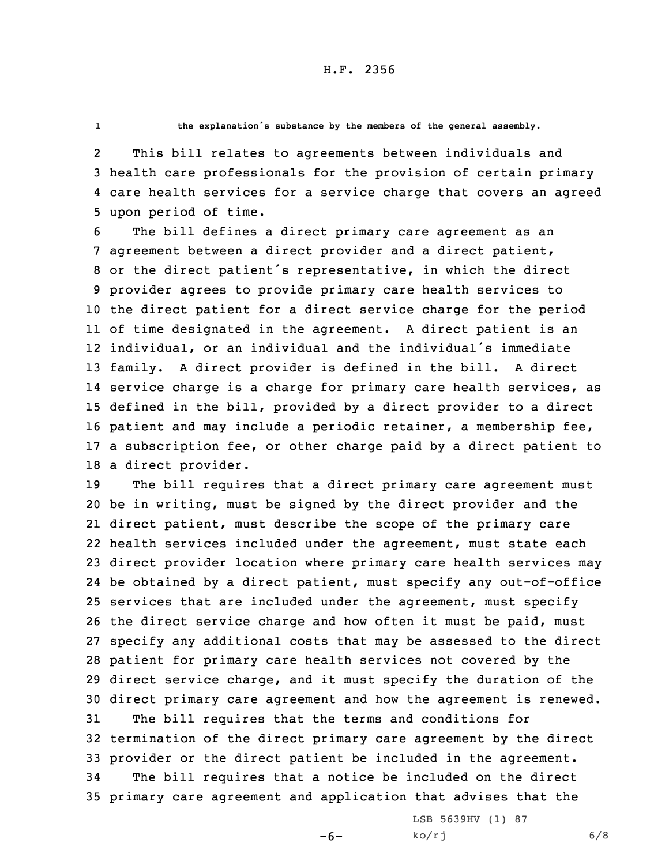1

**the explanation's substance by the members of the general assembly.**

2 This bill relates to agreements between individuals and 3 health care professionals for the provision of certain primary 4 care health services for <sup>a</sup> service charge that covers an agreed 5 upon period of time.

 The bill defines <sup>a</sup> direct primary care agreement as an agreement between <sup>a</sup> direct provider and <sup>a</sup> direct patient, or the direct patient's representative, in which the direct provider agrees to provide primary care health services to the direct patient for <sup>a</sup> direct service charge for the period of time designated in the agreement. <sup>A</sup> direct patient is an individual, or an individual and the individual's immediate family. <sup>A</sup> direct provider is defined in the bill. <sup>A</sup> direct service charge is <sup>a</sup> charge for primary care health services, as defined in the bill, provided by <sup>a</sup> direct provider to <sup>a</sup> direct patient and may include <sup>a</sup> periodic retainer, <sup>a</sup> membership fee, <sup>a</sup> subscription fee, or other charge paid by <sup>a</sup> direct patient to <sup>a</sup> direct provider.

 The bill requires that <sup>a</sup> direct primary care agreement must be in writing, must be signed by the direct provider and the direct patient, must describe the scope of the primary care health services included under the agreement, must state each direct provider location where primary care health services may be obtained by <sup>a</sup> direct patient, must specify any out-of-office services that are included under the agreement, must specify the direct service charge and how often it must be paid, must specify any additional costs that may be assessed to the direct patient for primary care health services not covered by the direct service charge, and it must specify the duration of the direct primary care agreement and how the agreement is renewed. The bill requires that the terms and conditions for termination of the direct primary care agreement by the direct provider or the direct patient be included in the agreement. The bill requires that <sup>a</sup> notice be included on the direct primary care agreement and application that advises that the

 $-6-$ 

LSB 5639HV (1) 87  $ko/rj$  6/8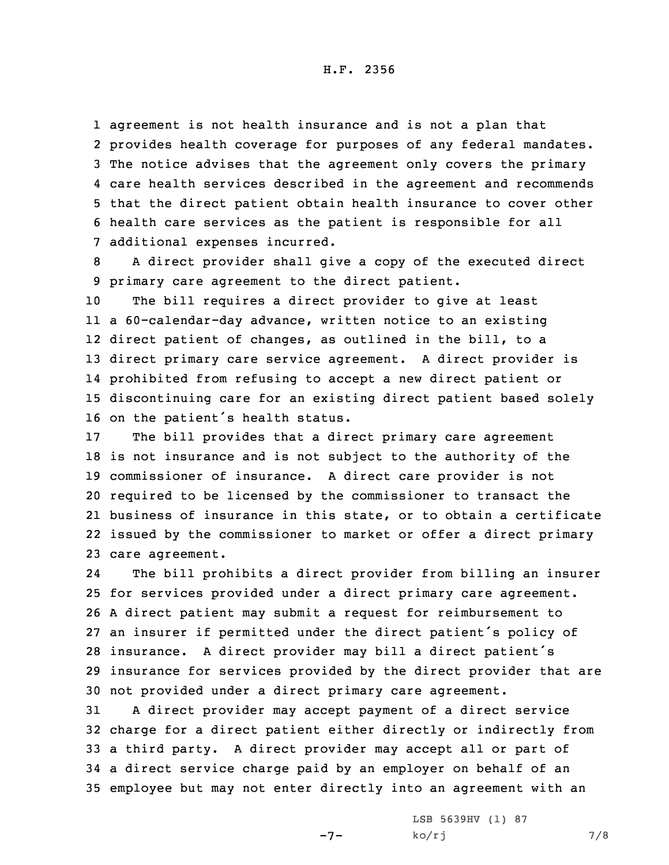H.F. 2356

 agreement is not health insurance and is not <sup>a</sup> plan that provides health coverage for purposes of any federal mandates. The notice advises that the agreement only covers the primary care health services described in the agreement and recommends that the direct patient obtain health insurance to cover other health care services as the patient is responsible for all additional expenses incurred.

8 <sup>A</sup> direct provider shall give <sup>a</sup> copy of the executed direct 9 primary care agreement to the direct patient.

 The bill requires <sup>a</sup> direct provider to give at least <sup>a</sup> 60-calendar-day advance, written notice to an existing direct patient of changes, as outlined in the bill, to <sup>a</sup> direct primary care service agreement. <sup>A</sup> direct provider is prohibited from refusing to accept <sup>a</sup> new direct patient or discontinuing care for an existing direct patient based solely on the patient's health status.

 The bill provides that <sup>a</sup> direct primary care agreement is not insurance and is not subject to the authority of the commissioner of insurance. <sup>A</sup> direct care provider is not required to be licensed by the commissioner to transact the business of insurance in this state, or to obtain <sup>a</sup> certificate issued by the commissioner to market or offer <sup>a</sup> direct primary care agreement.

24 The bill prohibits <sup>a</sup> direct provider from billing an insurer for services provided under <sup>a</sup> direct primary care agreement. <sup>A</sup> direct patient may submit <sup>a</sup> request for reimbursement to an insurer if permitted under the direct patient's policy of insurance. <sup>A</sup> direct provider may bill <sup>a</sup> direct patient's insurance for services provided by the direct provider that are not provided under <sup>a</sup> direct primary care agreement.

 <sup>A</sup> direct provider may accept payment of <sup>a</sup> direct service charge for <sup>a</sup> direct patient either directly or indirectly from <sup>a</sup> third party. <sup>A</sup> direct provider may accept all or part of <sup>a</sup> direct service charge paid by an employer on behalf of an employee but may not enter directly into an agreement with an

-7-

LSB 5639HV (1) 87  $ko/rj$  7/8